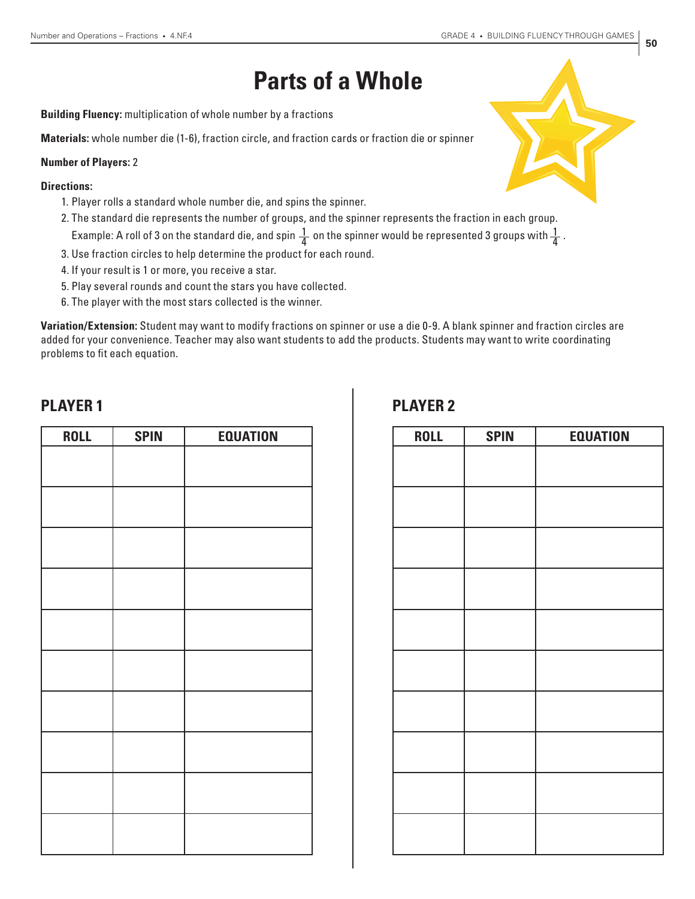## **Parts of a Whole**

**Building Fluency:** multiplication of whole number by a fractions

**Materials:** whole number die (1-6), fraction circle, and fraction cards or fraction die or spinner

## **Number of Players:** 2

**Directions:**

- 1. Player rolls a standard whole number die, and spins the spinner.
- 2. The standard die represents the number of groups, and the spinner represents the fraction in each group. Example: A roll of 3 on the standard die, and spin  $\frac{1}{4}$  on the spinner would be represented 3 groups with  $\frac{1}{4}$  . 4 1 4
- 3. Use fraction circles to help determine the product for each round.
- 4. If your result is 1 or more, you receive a star.
- 5. Play several rounds and count the stars you have collected.
- 6. The player with the most stars collected is the winner.

**Variation/Extension:** Student may want to modify fractions on spinner or use a die 0-9. A blank spinner and fraction circles are added for your convenience. Teacher may also want students to add the products. Students may want to write coordinating problems to fit each equation.

## **PLAYER 1**

| <b>ROLL</b> | <b>SPIN</b> | <b>EQUATION</b> |
|-------------|-------------|-----------------|
|             |             |                 |
|             |             |                 |
|             |             |                 |
|             |             |                 |
|             |             |                 |
|             |             |                 |
|             |             |                 |
|             |             |                 |
|             |             |                 |
|             |             |                 |
|             |             |                 |
|             |             |                 |
|             |             |                 |
|             |             |                 |
|             |             |                 |
|             |             |                 |
|             |             |                 |
|             |             |                 |
|             |             |                 |

**ROLL SPIN EQUATION**

**PLAYER 2**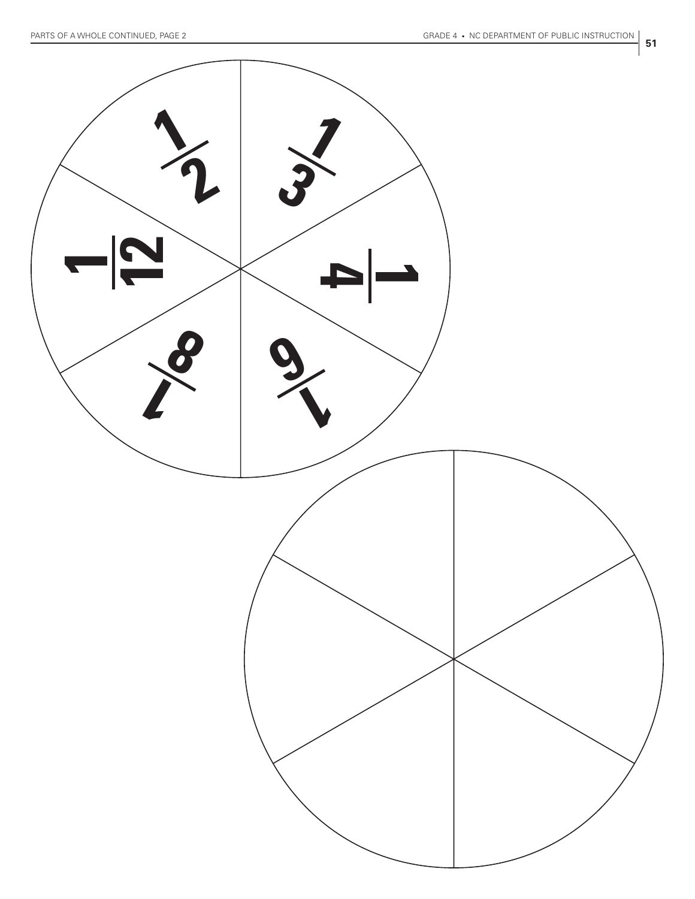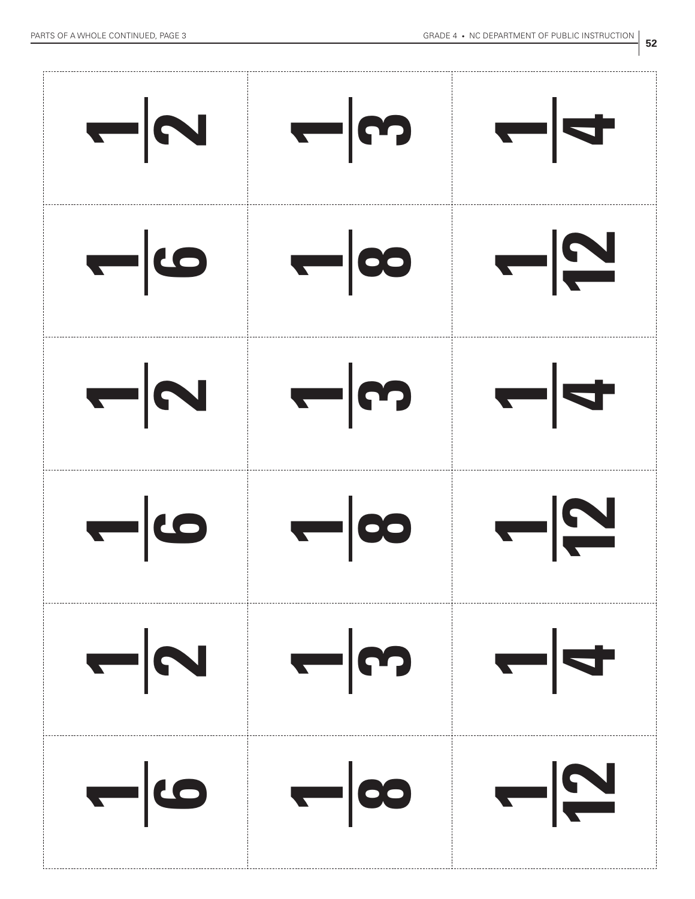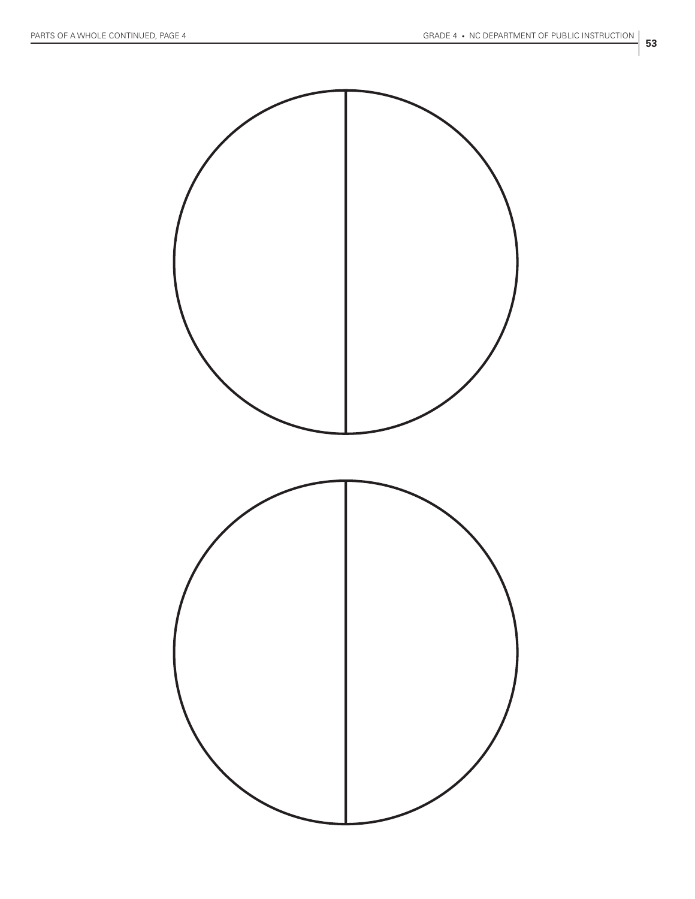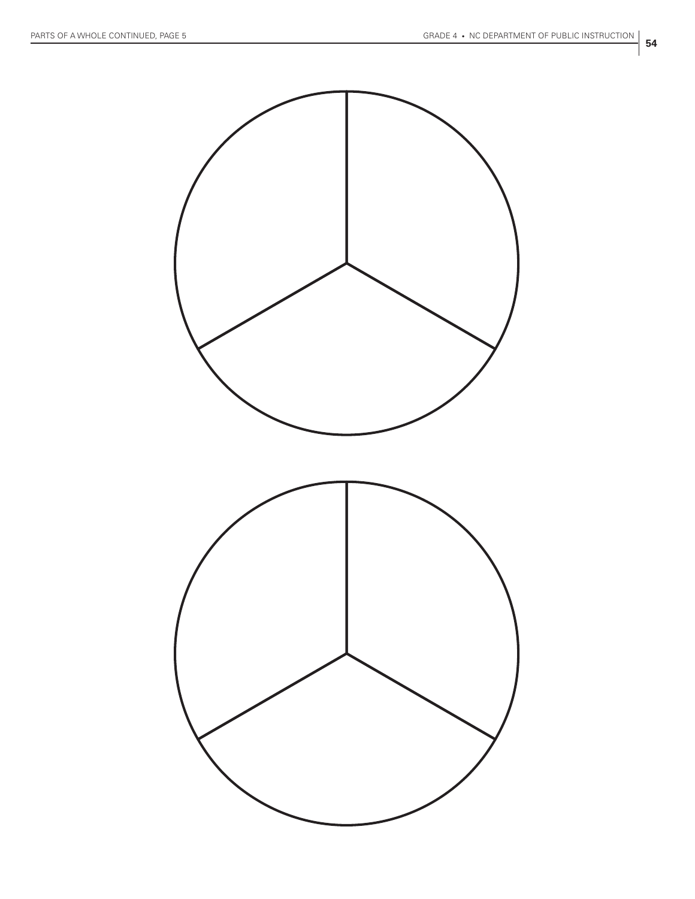

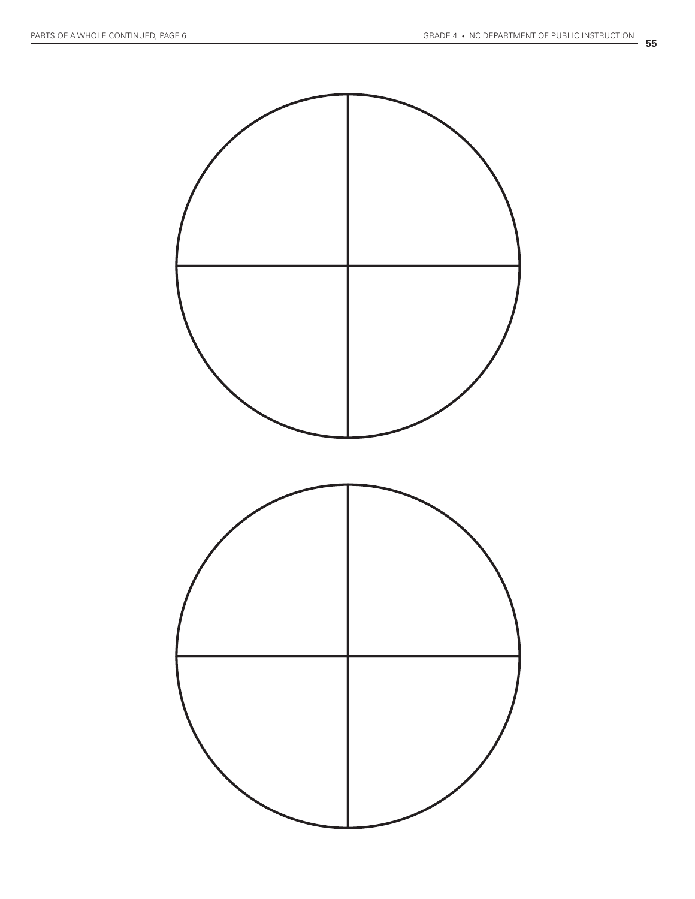



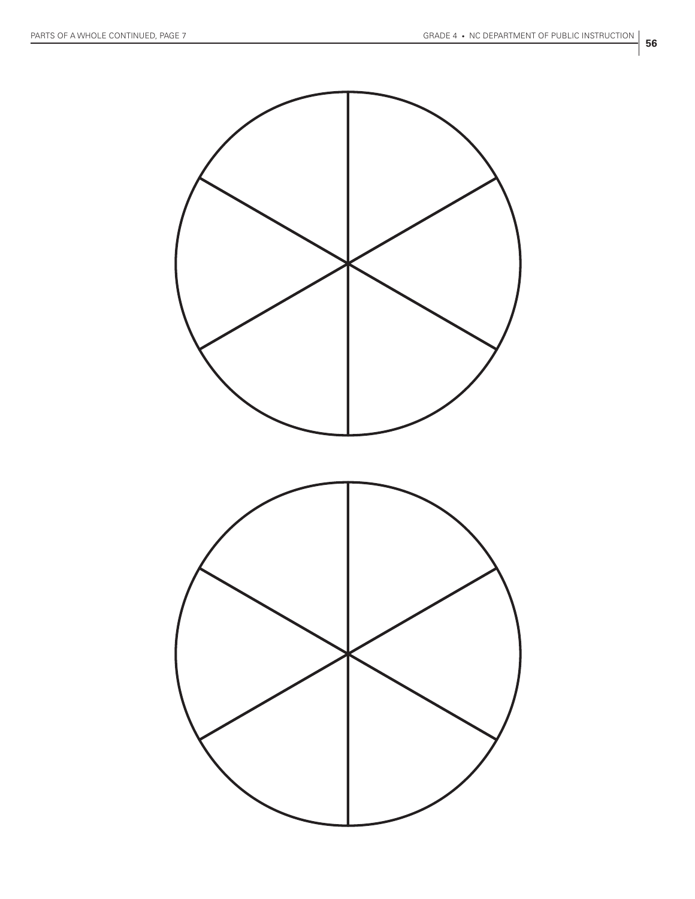

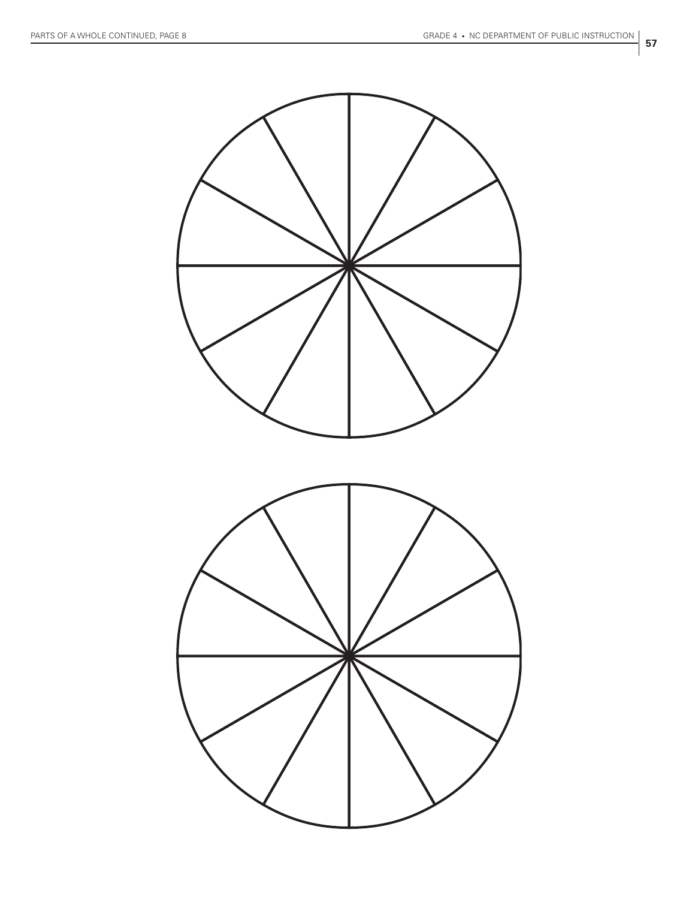

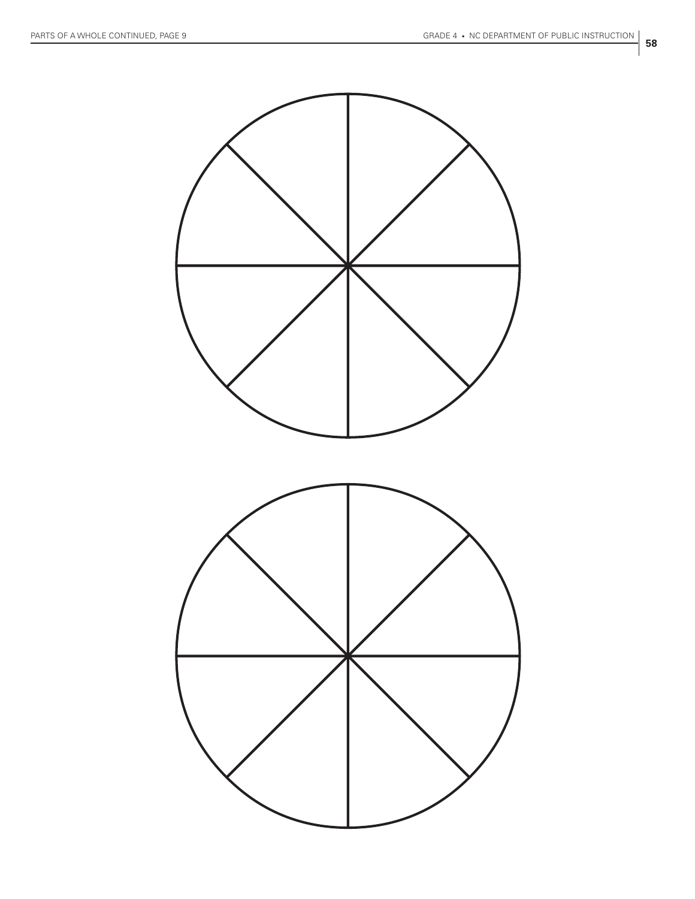

$$
\diagdown\Bigg/
$$